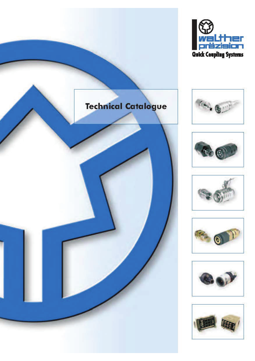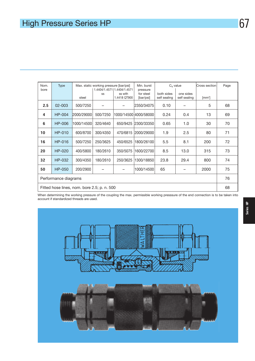| Nom.<br>bore                                | <b>Type</b>   |            | Max. static working pressure [bar/psi] | 1.4404/1.4571   1.4404/1.4571 | Min. burst<br>pressure |                            | $C_v$ value               | Cross section | Page |  |  |  |
|---------------------------------------------|---------------|------------|----------------------------------------|-------------------------------|------------------------|----------------------------|---------------------------|---------------|------|--|--|--|
|                                             |               | steel      | SS                                     | ss with<br>1.4418 QT900       | for steel<br>[bar/psi] | both sides<br>self sealing | one sides<br>self sealing | $[mm^2]$      |      |  |  |  |
| 2.5                                         | $02 - 003$    | 500/7250   |                                        |                               | 2350/34075             | 0.10                       |                           | 5             | 68   |  |  |  |
| 4                                           | HP-004        | 2000/29000 | 500/7250                               |                               | 1000/14500 4000/58000  | 0.24                       | 0.4                       | 13            | 69   |  |  |  |
| 6                                           | HP-006        | 1000/14500 | 320/4640                               | 650/9425                      | 2300/33350             | 0.65                       | 1.0                       | 30            | 70   |  |  |  |
| 10                                          | <b>HP-010</b> | 600/8700   | 300/4350                               | 470/6815                      | 2000/29000             | 1.9                        | 2.5                       | 80            | 71   |  |  |  |
| 16                                          | HP-016        | 500/7250   | 250/3625                               | 450/6525                      | 1800/26100             | 5.5                        | 8.1                       | 200           | 72   |  |  |  |
| 20                                          | $HP-020$      | 400/5800   | 180/2610                               | 350/5075                      | 1600/22700             | 8.5                        | 13.0                      | 315           | 73   |  |  |  |
| 32                                          | HP-032        | 300/4350   | 180/2610                               | 250/3625                      | 1300/18850             | 23.8                       | 29.4                      | 800           | 74   |  |  |  |
| 50                                          | <b>HP-050</b> | 200/2900   |                                        |                               | 1000/14500             | 65                         |                           | 2000          | 75   |  |  |  |
| Performance diagrams                        |               |            |                                        |                               |                        |                            |                           |               |      |  |  |  |
| Fitted hose lines, nom. bore 2.5; p. n. 500 |               |            |                                        |                               |                        |                            |                           |               |      |  |  |  |

When determining the working pressure of the coupling the max. permissible working presssure of the end connection is to be taken into account if standardized threads are used.

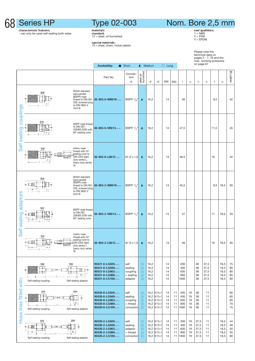

## Type 02-003

Nom. Bore 2,5 mm

characteristic features: - can only be used self sealing both sides

**materiais:<br>standard:**<br>12 = steel, oil burnished

special materials: 13 = steel, chem. nickel plated

seal qualitities:<br>1 = NBR<br>2 = FKM<br>4 = EPDM

Please note the technical data on pages 2 - 7, 76 and the max. working pressures on page 67

|                       |                                                                                                        |                                                                                                                       | <b>Availability:</b><br>● Short                                                                  |                                                       | <b>I</b> Medium                                     |                                      | $\bigcirc$ Long                                                                                       |                            |                            |                                  |                            | on page 67                           |                                      |      |                                      |                            |
|-----------------------|--------------------------------------------------------------------------------------------------------|-----------------------------------------------------------------------------------------------------------------------|--------------------------------------------------------------------------------------------------|-------------------------------------------------------|-----------------------------------------------------|--------------------------------------|-------------------------------------------------------------------------------------------------------|----------------------------|----------------------------|----------------------------------|----------------------------|--------------------------------------|--------------------------------------|------|--------------------------------------|----------------------------|
|                       |                                                                                                        |                                                                                                                       | Part No.                                                                                         | Connec-<br>tion<br>A                                  | steel oil<br>burnished                              | d                                    | $d_1$                                                                                                 | SW                         | SW <sub>1</sub>            | 1                                | $\mathsf{I}_3$             | h                                    | $\mathsf{I}_2$                       | t    | n                                    | weight [g]                 |
|                       | SW<br>τ                                                                                                | British standard<br>pipe parallel<br>(BSPP) male<br>thread to DIN ISO<br>228, screwed plug<br>to DIN 3852-2<br>form B | 02-003-0-WB010--.                                                                                | BSPP $\frac{1}{8}$                                    | $\bullet$                                           | 16,2                                 |                                                                                                       | 14                         |                            | 46                               |                            |                                      |                                      | 9,5  |                                      | 42                         |
| couplings<br>sealing  | SW<br>Φ                                                                                                | <b>BSPP</b> male thread<br>to DIN ISO<br>228/BS 5200 with<br>60° sealing cone                                         | 02-003-0-VR013--.                                                                                | BSPP $1/4$ "                                          | $\bullet$                                           | 16,2                                 |                                                                                                       | 14                         |                            | 47,5                             |                            |                                      |                                      | 11,5 |                                      | 45                         |
| Self                  | SW<br>ININ<br>Δ<br>Ť۴<br>S)                                                                            | metric male<br>thread with 24°<br>sealing cone to<br>DIN 2353 (light<br>duty series L.<br>heavy duty series           | 02-003-0-L0612--.                                                                                | M 12 x 1,5                                            | $\bullet$                                           | 16,2                                 |                                                                                                       | 14                         |                            | 46,5                             |                            |                                      |                                      | 10   |                                      | 42                         |
| adaptors<br>sealing   | SW<br>. n<br>∽t∹                                                                                       | British standard<br>pipe parallel<br>(BSPP) male<br>thread to DIN ISO<br>228, screwed plug<br>to DIN 3852-2<br>form B | 02-003-2-WB010--.                                                                                | BSPP $\frac{1}{8}$ "                                  | $\bullet$                                           | 16,2                                 |                                                                                                       | 14                         |                            | 45,5                             |                            |                                      |                                      | 9,5  | 18,5                                 | 30                         |
|                       | SW<br>ք — ⊞ե                                                                                           | <b>BSPP</b> male thread<br>to DIN ISO<br>228/BS 5200 with<br>60° sealing cone                                         | 02-003-2-VR013--.                                                                                | BSPP $1/4$ "                                          | $\bullet$                                           | 16,2                                 |                                                                                                       | 14                         |                            | 47                               |                            |                                      |                                      | 11   | 18,5                                 | 33                         |
| Self                  | SW<br>IN<br>S)                                                                                         | metric male<br>thread with 24°<br>sealing cone to<br>DIN 2353 (light<br>duty series L,<br>heavy duty series           | 02-003-2-L0612--.                                                                                | M 12 x 1,5                                            | $\bullet$                                           | 16,2                                 |                                                                                                       | 14                         |                            | 46                               |                            |                                      |                                      | 10   | 18,5                                 | 30                         |
|                       | SW<br>SW<br>ত<br>Self sealing coupling                                                                 | m<br>σ<br>$n -$<br>Self sealing adaptor                                                                               | 95021-0-LG020--.<br>95021-0-LG040--.<br>95021-0-LG063--.<br>95021-0-LG080--.<br>95021-0-LG100--. | self<br>sealing<br>coupling<br>+ sealing<br>adaptor   | $\circ$<br>$\circ$<br>$\circ$<br>$\circ$<br>$\circ$ | 16,2<br>16,2<br>16,2<br>16,2<br>16,2 |                                                                                                       | 14<br>14<br>14<br>14<br>14 |                            | 200<br>400<br>630<br>800<br>1000 |                            | 38<br>38<br>38<br>38<br>38           | 37,5<br>37,5<br>37,5<br>37,5<br>37,5 |      | 18,5<br>18,5<br>18,5<br>18,5<br>18,5 | 75<br>80<br>80<br>85<br>90 |
| fitted with:<br>lines | SW<br>$\overline{a}$<br>Self sealing coupling                                                          | SW <sub>1</sub><br>$\frac{1}{2}$<br> <br> - 12  -<br> - 13  -<br>Self sealing adaptor                                 | 95020-0-LG020--.<br>95020-0-LG040--.<br>95020-0-LG063--.<br>95020-0-LG080--.<br>95020-0-LG100--. | self<br>sealing<br>coupling<br>+ thread<br>connection | $\circ$<br>$\circ$<br>$\circ$<br>$\circ$<br>$\circ$ |                                      | $16,2$ M $10 \times 1$<br>$16,2$ M $10 \times 1$<br>16,2 $M10\times1$<br>16,2 $M10x1$<br>16,2 $M10x1$ | 14<br>14<br>14<br>14<br>14 | 11<br>11<br>11<br>11<br>11 | 200<br>400<br>630<br>800<br>1000 | 19<br>19<br>19<br>19<br>19 | 38<br>38<br>38<br>38<br>38           | 11<br>11<br>11<br>11<br>11           |      |                                      | 60<br>65<br>65<br>70<br>75 |
| Hose                  | SW <sub>1</sub><br>SW<br>$\overline{\mathbf{C}}$<br>₩<br>$l_{12+}$<br>n<br>lз<br>Self sealing coupling | $\dot{\sigma}$<br>Self sealing adaptor                                                                                | 95020-2-LG020--.<br>95020-2-LG040--.<br>95020-2-LG063--.<br>95020-2-LG080--.<br>95020-2-LG100--. | self<br>sealing<br>adaptor<br>+ thread<br>connection  | $\circ$<br>$\circ$<br>$\circ$<br>$\circ$<br>$\circ$ |                                      | 16,2 $M10x1$<br>16,2 $M 10 x 1$<br>16,2 $M10x1$<br>16,2 $M10x1$<br>16,2 $M10x1$                       | 14<br>14<br>14<br>14<br>14 | 11<br>11<br>11<br>11<br>11 | 200<br>400<br>630<br>800<br>1000 | 19<br>19<br>19<br>19<br>19 | 37,5<br>37,5<br>37,5<br>37,5<br>37,5 | 11<br>11<br>11<br>11<br>11           |      | 18,5<br>18,5<br>18,5<br>18,5<br>18,5 | 44<br>48<br>50<br>55<br>60 |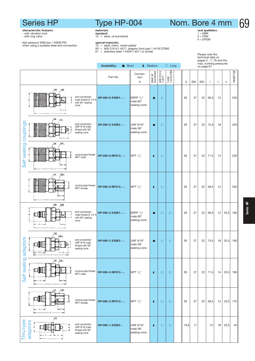Type HP-004

#### 69Nom. Bore 4 mm

seal qualitities:<br>1 = NBR<br>2 = FKM<br>4 = EPDM

Please note the

**cnaracteristic reatures:**<br>- with vibration lock<br>- with ring valve test pressure 3000 bar / 43500 PSI when using a suitable steel end connection

**materiais:**<br>standard:<br>12 = steel, oil burnished

- **special materials:**<br>13 = steel, chem. nickel plated<br>W1 = AISI 316 ti/1.4571, adaptor front part 1.4418 QT900<br>01 = stainless steel 1.4404/1.4571 or similar
- 

|                                                                                                                                               | <b>Availability:</b><br>$\bullet$ Short<br>$\bullet$ Medium<br>$\bigcirc$ Long |                                                  |                        |                        |                         | technical data on<br>pages 2 - 7, 76 and the<br>max. working pressures<br>on page 67 |    |                 |              |    |      |            |  |  |
|-----------------------------------------------------------------------------------------------------------------------------------------------|--------------------------------------------------------------------------------|--------------------------------------------------|------------------------|------------------------|-------------------------|--------------------------------------------------------------------------------------|----|-----------------|--------------|----|------|------------|--|--|
|                                                                                                                                               | Part No.                                                                       | Connec-<br>tion<br>Α                             | steel oil<br>burnished | AISI 316 ti/<br>1.4571 | 1.4404/<br>1.4418 QT900 | d                                                                                    | SW | SW <sub>1</sub> | $\mathbf{I}$ | t  | n    | weight [g] |  |  |
| <u>SW</u><br><b>SW</b><br>end connection<br>male thread G 1/4 A<br>with 60° sealing<br>cone                                                   | HP-004-0-XX001--.                                                              | BSPP $\frac{1}{4}$ "<br>male 60°<br>sealing cone | $\bullet$              | $\circ$                |                         | 30                                                                                   | 27 | 22              | 69,5         | 12 |      | 220        |  |  |
| SW.<br>SW <sub>1</sub><br>couplings<br>end connection<br>UNF 9/16 male<br>thread with 58°<br>p<br>sealing cone                                | HP-004-0-XX002--.                                                              | UNF 9/16"<br>male 58°<br>sealing cone            | $\bullet$              | $\circ$                |                         | 30                                                                                   | 27 | 22              | 75,5         | 18 |      | 220        |  |  |
| SW <sub>1</sub><br><b>SW</b><br>sealing<br>conical pipe thread<br>Ó<br>NPT, male<br>Self                                                      | HP-004-0-NP013--.                                                              | NPT $1/4$ "                                      | $\bullet$              | $\circ$                |                         | 30                                                                                   | 27 | 22              | 71,5         | 14 |      | 220        |  |  |
| $5w_1$<br><u>SW</u><br>conical pipe thread<br>∢<br>Ψ<br>Л<br>NPT, female                                                                      | HP-004-0-NP513--.                                                              | NPT $1/4$ "                                      | $\bullet$              | $\circ$                |                         | 30                                                                                   | 27 | 22              | 68,5         | 14 |      | 230        |  |  |
| <b>SW</b><br>$\leq M$<br>end connection<br>∢<br>male thread G 1/4 A<br>with 60° sealing<br>cone                                               | HP-004-2-XX001--.                                                              | BSPP $1/4"$<br>male 60°<br>sealing cone          | $\bullet$              | $\circ$                | $\circ$                 | 30                                                                                   | 27 | 22              | 69,5         | 12 | 25,5 | 160        |  |  |
| <u>SW</u><br>SW <sub>1</sub><br>ptors<br>end connection<br>UNF 9/16 male<br>$\mathbf \sigma$<br>thread with 58°<br>sealing cone<br>ada<br>-n- | HP-004-2-XX002--.                                                              | UNF 9/16"<br>male 58°<br>sealing cone            | $\bullet$              | $\circ$                | $\circ$                 | 30                                                                                   | 27 | 22              | 75,5         | 18 | 25,5 | 160        |  |  |
| Self sealing<br><u>SW</u> SW1<br>ъ<br>conical pipe thread<br>NPT, male                                                                        | HP-004-2-NP013--.                                                              | NPT 1/4"                                         | $\bullet$              | $\circ$                | $\circ$                 | 30                                                                                   | 27 | 22              | 71,5         | 14 | 25,5 | 160        |  |  |
| SW <sub>1</sub><br><u>SW</u><br>conical pipe thread<br>NPT, female                                                                            | HP-004-2-NP513--.                                                              | NPT $1/4$ "                                      | $\bullet$              | $\circ$                | $\circ$                 | 30                                                                                   | 27 | 22              | 68,5         | 14 | 25,5 | 170        |  |  |
| <u>sw</u><br>Thru type<br>adaptors<br>end connection<br>$\frac{1}{\sigma}$<br>UNF 9/16 male<br>∢<br>thread with 58°<br>sealing cone           | HP-004-1-XX002-                                                                | UNF 9/16"<br>male 58°<br>sealing cone            | $\bullet$              | $\circ$                | $\circ$                 | 18,9                                                                                 | 17 |                 | 51           | 18 | 25,5 | 45         |  |  |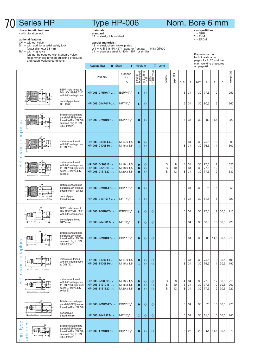#### characteristic features: - with vibration lock

**optional features:**<br>OV = without valve<br>SI = with additional axial safety lock<br>(outer diameter 38 mm)

- 
- RV = with ring valve (cannot be coupled with standard valve) Recommended for high pulsating pressures and rough working conditions.
	-

### Type HP-006

materials:

standard:<br>12 = steel, oil burnished

- 
- special materials: 13 = steel, chem. nickel plated W1 = AISI 316 ti/1.4571, adaptor front part 1.4418 QT900 01 = stainless steel 1.4404/1.4571 or similar
- 

### Nom. Bore 6 mm

seal qualitities:<br>1 = NBR<br>2 = FKM<br>4 = EPDM

Please note the technical data on pages 2 - 7, 76 and the max. working pressures on page 67

|              |           |                                                                                                                 | <b>Availability:</b>                                        | Short                                  |                        | <b>I</b> Medium<br>$\bigcirc$ Long |                               |  |             |               | max. working pressures<br>on page 67 |                |                |                      |                 |                      |                   |
|--------------|-----------|-----------------------------------------------------------------------------------------------------------------|-------------------------------------------------------------|----------------------------------------|------------------------|------------------------------------|-------------------------------|--|-------------|---------------|--------------------------------------|----------------|----------------|----------------------|-----------------|----------------------|-------------------|
|              |           |                                                                                                                 | Part No.                                                    | Connec-<br>tion<br>Α                   | steel oil<br>burnished | AISI 316 ti/<br>1.4571             | 1.4404/<br>1.4418 QT900       |  | series      | 8<br>pipe     | n. b.                                | d              | SW             | $\overline{1}$       | t               | n                    | weight [g]        |
|              |           | BSPP male thread to<br>DIN ISO 228/BS 5200<br>with 60° sealing cone                                             | HP-006-0-VR017--.                                           | BSPP $\frac{3}{8}$ "                   | $\bullet$              | $\circ$                            |                               |  |             |               | 6                                    | 34             | 30             | 77,5                 | 12              |                      | 250               |
|              |           | conical pipe thread<br>NPT male                                                                                 | HP-006-0-NP017--.                                           | NPT $\frac{3}{8}$ "                    | $\bullet$              | $\circ$                            |                               |  |             |               | 6                                    | 34             | 30             | 80,5                 | 15              |                      | 260               |
| couplings    |           | British standard pipe<br>parallel (BSPP) male<br>thread to DIN ISO 228,<br>screwed plug to DIN<br>3852-2 form B | HP-006-0-WB017--.                                           | BSPP $3/_\text{R}$ "                   | $\bullet$              | $\circ$                            |                               |  |             |               | 6                                    | 34             | 30             | 80                   | 14,5            |                      | 320               |
| sealing      |           | metric male thread<br>with 60° sealing cone<br>to DIN 7631                                                      | HP-006-0-D0614--.<br>HP-006-0-D0816--.                      | M 14 x 1,5<br>M 16 x 1,5               | $\circ$                | $\circ$<br>$\circ$                 |                               |  |             |               | 6<br>8                               | 34<br>34       | 30<br>30       | 75,5<br>76,5         | 10<br>11        |                      | 300<br>300        |
| Self         |           | metric male thread<br>with 24° sealing cone<br>to DIN 2353 (light duty<br>series L, heavy duty<br>series S)     | HP-006-0-S0816--.<br>HP-006-0-S1018--.<br>HP-006-0-S1220--. | M 16 x 1,5<br>M 18 x 1,5<br>M 20 x 1,5 | $\bullet$<br>$\bullet$ | О<br>$\bigcirc$<br>$\circ$         |                               |  | S<br>S<br>S | 8<br>10<br>12 | $\overline{4}$<br>6<br>8             | 34<br>34<br>34 | 30<br>30<br>30 | 77,5<br>77,5<br>77,5 | 12<br>12<br>12  |                      | 320<br>310<br>330 |
|              |           | British standard pipe<br>parallel (BSPP) female<br>thread to DIN ISO 228                                        | HP-006-0-WR517--.                                           | <b>BSPP 3/<sub>o</sub></b> "           | $\bullet$              | $\circ$                            |                               |  |             |               | 6                                    | 34             | 30             | 75                   | 15              |                      | 350               |
|              |           | conical pipe<br>thread female                                                                                   | HP-006-0-NP517--.                                           | NPT $\frac{3}{8}$ "                    | О                      | $\circ$                            |                               |  |             |               | 6                                    | 34             | 30             | 81,5                 | 15              |                      | 320               |
|              |           | BSPP male thread to<br>DIN ISO 228/BS 5200<br>with 60° sealing cone                                             | HP-006-2-VR017--.                                           | BSPP $\frac{3}{8}$ "                   | $\bullet$              | $\circ$                            | $\circ$                       |  |             |               | 6                                    | 34             | 30             | 77,5                 | 12 <sup>2</sup> | 30,5                 | 210               |
|              |           | conical pipe thread<br>NPT male                                                                                 | HP-006-2-NP017--.                                           | NPT $\frac{3}{8}$ "                    | $\bullet$              | $\circ$                            | $\circ$                       |  |             |               | 6                                    | 34             | 30             | 80,5                 | 15              | 30,5                 | 220               |
| daptors      |           | British standard pipe<br>parallel (BSPP) male<br>thread to DIN ISO 228.<br>screwed plug to DIN<br>3852-2 form B | HP-006-2-WB017--.                                           | BSPP $\frac{3}{8}$ "                   | $\bullet$              | $\circ$                            | $\circ$                       |  |             |               | 6                                    | 34             | 30             | 80                   | 14,5            | 30,5                 | 210               |
| œ<br>sealing | ŠЖ        | metric male thread<br>with 60° sealing cone<br>to DIN 7631                                                      | HP-006-2-D0614--.<br>HP-006-2-D0816--.                      | M 14 x 1,5<br>M 16 x 1,5               | 0<br>$\circ$           | $\circ$<br>$\circ$                 | $\circ$<br>$\circ$            |  |             |               | 6<br>8                               | 34<br>34       | 30<br>30       | 75,5<br>76,5         | 10<br>11        | 30,5<br>30,5         | 190<br>190        |
| Self         |           | metric male thread<br>with 24° sealing cone<br>to DIN 2353 (light duty<br>series L, heavy duty<br>series S)     | HP-006-2-S0816--.<br>HP-006-2-S1018--.<br>HP-006-2-S1220--. | M 16 x 1,5<br>M 18 x 1,5<br>M 20 x 1,5 | $\bullet$<br>$\bullet$ | O<br>$\circ$<br>$\circ$            | $\circ$<br>$\circ$<br>$\circ$ |  | S<br>S<br>S | 8<br>10<br>12 | $\overline{4}$<br>6<br>8             | 34<br>34<br>34 | 30<br>30<br>30 | 77,5<br>77,5<br>77,5 | 12<br>12<br>12  | 30,5<br>30,5<br>30,5 | 210<br>200<br>220 |
|              |           | British standard pipe<br>parallel (BSPP) female<br>thread to DIN ISO 228                                        | HP-006-2-WR517--.                                           | BSPP $\frac{3}{8}$ "                   | $\bullet$              | О                                  | $\circ$                       |  |             |               | 6                                    | 34             | 30             | 75                   | 15              | 30,5                 | 270               |
|              | $-$ n $-$ | conical pipe<br>thread female                                                                                   | HP-006-2-NP517--.                                           | NPT $\frac{3}{8}$ "                    | $\circ$                | $\circ$                            | $\circ$                       |  |             |               | 6                                    | 34             | 30             | 81,5                 | 15              | 30,5                 | 240               |
| Thru type    | adaptors  | British standard pipe<br>parallel (BSPP) male<br>thread to DIN ISO 228,<br>screwed plug to DIN<br>3852-2 form B | HP-006-1-WB017-                                             | BSPP 3/8"                              | $\bullet$              | О                                  | $\circ$                       |  |             |               | 6                                    | 25             | 22             | 54                   | 14,5            | 30,5                 | 70                |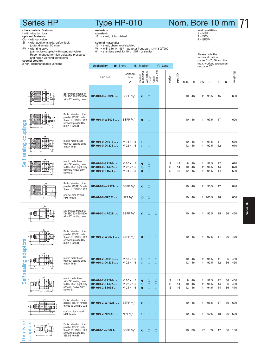#### characteristic features:

- with vibration lock<br>optional features:

- 
- -

Self sealing couplings

Seif

inas  $\overline{9}$ ā ing seal

Self sealing adaptors

sealing

Self

ŒM

**€₩** 

EULO  $\overline{\phantom{a}}$ 

یں<br>د

**SJO** 

adapt

metric male thread with 24° sealing cone to DIN 2353 (light duty series L, heavy duty series S)

British standard pipe parallel (BSPP) female thread to DIN ISO 228 conical pipe thread NPT female

British standard pipe parallel (BSPP) male thread to DIN ISO 228, screwed plug to DIN 3852-2 form B

HP-010-2-S1624-..-.

HP-010-2-WR521-..-. BSPP 1/2'

HP-010-2-NP521-..-. NPT 1/2"

HP-010-1-WB021-.. BSPP 1/2

hru type adaptors

## Type HP-010

materials:

standard:

Nom. Bore 10 mm 71

seal qualitities:  $1 = \overrightarrow{NBR}$ 

 $12 =$  steel, oil burnished  $2 = FKM$ **optional features:**<br>OV = without valve  $4 = EPDM$ special materials:<br> $13 - \frac{1}{2}$  $SI = with additional axial safety lock$ (outer diameter 50 mm) 13 = steel, chem. nickel plated W1 = AISI 316 ti/1.4571, adaptor front part 1.4418 QT900  $RV =$  with ring valve (cannot be coupled with standard valve)  $01$  = stainless steel  $1.4404/1.4571$  or similar Please note the Recommended for high pulsating pressures and rough working conditions. technical data on pages 2 - 7, 76 and the **special version:**<br>2 non-interchangeable versions max. working pressures Availability: Short C Medium C Long on page 67 weight [g] AISI 316 ti/ 1.4571 1.4404/ 1.4418 QT900 steel oil burnished Connecpipe OD Part No. series tion A |#sd] 블… | 2 | 음 | 8 | 음 | n.b.| d | SW | l | t | n BSPP male thread to DIN ISO 228/BS 5200 HP-010-0-VR021-..-. BSPP 1/2' " | ① | 0 | | | | | | | | | 10 | 46 | 41 | 95,5 | 15 | | | | | 680 with 60° sealing cone British standard pipe parallel (BSPP) male n HP-010-0-WB021-..-. BSPP 1/2 thread to DIN ISO 228 " | • | 0 | | | | | | | | | 10 | 46 | 41 | 97,5 | 17 | | | | | 690 screwed plug to DIN 3852-2 form B metric male thread HP-010-0-D1018-..-. M 18 x 1,5 A A 10 46 41 91,5 11 670 with 60° sealing cone HP-010-0-D1222-..-. to DIN 7631 metric male thread HP-010-0-S1220-..-. M 20 x 1,5 D A S 12 8 46 41 92,5 12 670 with 24° sealing cone to DIN 2353 (light duty series L, heavy duty HP-010-0-S1422-..-. M 22 x 1,5 A A S 14 10 46 41 94,5 14 670 HP-010-0-S1624-..-. series S) British standard pipe parallel (BSPP) fem HP-010-0-WR521-..-. BSPP 1/2"  $" | 0 | 0 | | 1 | 1 | 10 | 46 | 41 | 96,5 | 17 | 840$ thread to DIN ISO 228 conical pipe thread HP-010-0-NP521-..-. NPT 1/2" NPT female " A A 10 46 41 100,5 18 850 BSPP male thread to HP-010-2-VR021-..-. BSPP 1/2' □ DIN ISO 228/BS 5200 " | 0 | 0 | 0 | 10 | 10 | 46 | 41 | 95,5 | 15 | 36 | 460 with 60° sealing cone British standard pipe parallel (BSPP) male thread to DIN ISO 228, ΠH HP-010-2-WB021-..-. BSPP 1/2" " | ● | ○ | ○ | | | | 10 | 46 | 41 | 97,5 | 17 | 36 | 470 screwed plug to DIN 3852-2 form B metric male thread HP-010-2-D1018-..-. M 18 x 1,5 A A A 10 46 41 91,5 11 36 450 with 60° sealing cone to DIN 7631 HP-010-2-D1222-..-.

> **HP-010-2-S1220-..-.**  $M 20 \times 1,5$  **C** C C S 12 8 46 41 92,5 12 36 460<br> **HP-010-2-S1422-..-.**  $M 22 \times 1,5$  C C C S 14 10 46 41 94,5 14 36 460 HP-010-2-S1422-..-. M 22 x 1,5 A A A S 14 10 46 41 94,5 14 36 460

> > " | 0 | 0 | 0 | 1 | 10 | 46 | 41 | 96,5 | 17 | 36 | 620

" | ○ | ○ | ○ | | | 10 | 46 | 41 |100,5 | 18 | 36 | 630

" | 0 | 0 | 0 | 1 | 10 | 30 | 27 | 63 | 17 | 36 | 130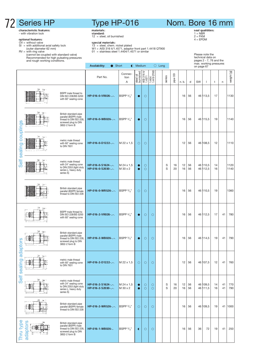#### characteristic features: - with vibration lock

- **optional features:**<br>OV = without valve<br>SI = with additional axial safety lock<br>(outer diameter 62 mm)
- 
- 
- 
- RV = with ring valve (cannot be coupled with standard valve) Recommended for high pulsating pressures and rough working conditions.

## Type HP-016

materials:

standard:<br>12 = steel, oil burnished

- special materials: 13 = steel, chem. nickel plated W1 = AISI 316 ti/1.4571, adaptor front part 1.4418 QT900 01 = stainless steel 1.4404/1.4571 or similar
- 

Availability:  $\bullet$  Short  $\bullet$  Medium  $\circ$  Long

## Nom. Bore 16 mm

seal qualitities:<br>1 = NBR<br>2 = FKM<br>4 = EPDM

Please note the technical data on pages 2 - 7, 76 and the max. working pressures on page 67

|                   |                 |                                                                                                                 | Part No.                               | Connec-<br>tion<br>Α                       | steel oil<br>burnished | AISI 316 ti/<br>1.4571 | 1.4404/<br>1.4418 QT900 | series | pipe OD  | n. b.    | d        | SW | $\mathsf{I}$         | t        | n        | weight [g]   |
|-------------------|-----------------|-----------------------------------------------------------------------------------------------------------------|----------------------------------------|--------------------------------------------|------------------------|------------------------|-------------------------|--------|----------|----------|----------|----|----------------------|----------|----------|--------------|
|                   | ŞW<br>SW        | BSPP male thread to<br>DIN ISO 228/BS 5200<br>with 60° sealing cone                                             | HP-016-0-VR026--.                      | BSPP $3/4$ "                               | $\bullet$              | $\circ$                |                         |        |          | 16       | 56       |    | 46 113,5             | 17       |          | 1130         |
|                   | SW<br>SW        | British standard pipe<br>parallel (BSPP) male<br>thread to DIN ISO 228,<br>screwed plug to DIN<br>3852-2 form B | HP-016-0-WB026--.                      | BSPP <sup>3</sup> /4"                      | $\bullet$              | O                      |                         |        |          | 16       | 56       |    | 46 115,5             | 19       |          | 1140         |
| sealing couplings | SW<br>SW        | metric male thread<br>with 60° sealing cone<br>to DIN 7631                                                      | HP-016-0-D1222--.                      | M 22 x 1,5                                 | $\circ$                | $\circ$                |                         |        |          | 12       | 56       |    | 46 108,5             | 12       |          | 1110         |
| Self              |                 | metric male thread<br>with 24° sealing cone<br>to DIN 2353 (light duty<br>series L, heavy duty<br>series S)     | HP-016-0-S1624--.<br>HP-016-0-S2030--. | M 24 x 1,5<br>M 30 x 2                     | $\bullet$<br>$\bullet$ | O<br>$\circ$           |                         | S<br>S | 16<br>20 | 12<br>16 | 56<br>56 |    | 46 110,5<br>46 112,5 | 14<br>16 |          | 1120<br>1140 |
|                   |                 | British standard pipe<br>parallel (BSPP) female<br>thread to DIN ISO 228                                        | HP-016-0-WR526--.                      | BSPP 3/4"                                  | $\circ$                | $\circ$                |                         |        |          | 16       | 56       |    | 46 110,5             | 19       |          | 1360         |
|                   | S۳<br><b>SW</b> | BSPP male thread to<br>DIN ISO 228/BS 5200<br>with 60° sealing cone                                             | HP-016-2-VR026--.                      | BSPP 3/4"                                  | $\bullet$              | $\circ$                | O                       |        |          | 16       | 56       |    | 46 112,5             | 17       | 41       | 780          |
| adaptors          |                 | British standard pipe<br>parallel (BSPP) male<br>thread to DIN ISO 228,<br>screwed plug to DIN<br>3852-2 form B | HP-016-2-WB026--.                      | BSPP $3/4$ "                               | $\bullet$              | $\circ$                | $\circ$                 |        |          | 16       | 56       |    | 46 114,5             | 19       | 41       | 790          |
| ත<br>Self sealin  |                 | metric male thread<br>with 60° sealing cone<br>to DIN 7631                                                      | HP-016-2-D1222--.                      | M 22 x 1,5                                 | О                      | $\circ$                | $\circ$                 |        |          | 12       | 56       |    | 46 107,5             | 12       | 41       | 760          |
|                   | SW.             | metric male thread<br>with 24° sealing cone<br>to DIN 2353 (light duty<br>series L, heavy duty<br>series S)     | HP-016-2-S1624--.<br>HP-016-2-S2030--. | M 24 x 1,5<br>M 30 x 2                     | $\bullet$<br>$\bullet$ | $\circ$<br>$\circ$     | $\circ$<br>$\circ$      | S<br>S | 16<br>20 | 12<br>16 | 56<br>56 |    | 46 109,5<br>46 111,5 | 14<br>16 | 41<br>41 | 770<br>790   |
|                   | <b>SW</b>       | British standard pipe<br>parallel (BSPP) female<br>thread to DIN ISO 228                                        | HP-016-2-WR526--.                      | $\overline{\mathsf{BSPP}}$ $\frac{3}{4}$ " | $\circ$                | $\circ$                | $\circ$                 |        |          | 16       | 56       |    | 46 109,5             | 19       |          | 41 1000      |
| Thru type         | adaptors        | British standard pipe<br>parallel (BSPP) male<br>thread to DIN ISO 228,<br>screwed plug to DIN<br>3852-2 form B | HP-016-1-WB026-                        | BSPP 3/4"                                  | $\bullet$              | $\circ$                | $\circ$                 |        |          | 16       | 56       | 36 | 72                   | 19       | 41       | 250          |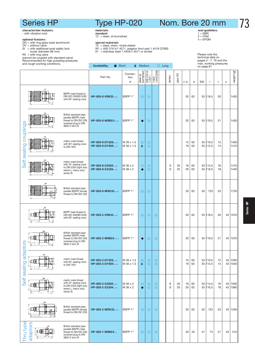characteristic features: with vibration lock

#### optional features:

- GG = with ring grips (cast aluminium) OV = without valve SI = with additional axial safety lock
- 
- 
- 
- 

(outer diameter 68 mm) RV = with ring valve (cannot be coupled with standard valve) Recommended for high pulsating pressures

## Type HP-020

#### materials:

standard: 12 = steel, oil burnished

- 
- special materials: 13 = steel, chem. nickel plated W1 = AISI 316 ti/1.4571, adaptor front part 1.4418 QT900 01 = stainless steel 1.4404/1.4571 or similar
- 

seal qualitities:<br>1 = NBR<br>2 = FKM<br>4 = EPDM

Please note the

Nom. Bore 20 mm

|                   | (cannot be coupled with standard valve)<br>Recommended for high pulsating pressures<br>and rough working conditions. |                                                                                                                 | technical data on<br>pages 2 - 7, 76 and the<br>max. working pressures<br><b>Availability:</b><br>● Short<br>$\bigcirc$ Medium<br>$\bigcirc$ Long<br>on page 67 |                          |                        |                        |                         |  |        |          |          |          |    |                      |          |          |              |
|-------------------|----------------------------------------------------------------------------------------------------------------------|-----------------------------------------------------------------------------------------------------------------|-----------------------------------------------------------------------------------------------------------------------------------------------------------------|--------------------------|------------------------|------------------------|-------------------------|--|--------|----------|----------|----------|----|----------------------|----------|----------|--------------|
|                   |                                                                                                                      |                                                                                                                 | Part No.                                                                                                                                                        | Connec-<br>tion<br>A     | steel oil<br>burnished | AISI 316 ti/<br>1.4571 | 1.4404/<br>1.4418 QT900 |  | series | pipe OD  | n. b.    | d        | SW | $\mathbf{I}$         | t        | n        | weight [g]   |
|                   |                                                                                                                      | BSPP male thread to<br>DIN ISO 228/BS 5200<br>with 60° sealing cone                                             | HP-020-0-VR033--.                                                                                                                                               | BSPP 1"                  | $\circ$                | $\circ$                |                         |  |        |          | 20       | 62       |    | 55 118,5             | 20       |          | 1450         |
|                   |                                                                                                                      | British standard pipe<br>parallel (BSPP) male<br>thread to DIN ISO 228,<br>screwed plug to DIN<br>3852-2 form B | HP-020-0-WB033--.                                                                                                                                               | BSPP 1"                  | 0                      | $\circ$                |                         |  |        |          | 20       | 62       |    | 55 119,5             | 21       |          | 1450         |
| sealing couplings |                                                                                                                      | metric male thread<br>with 60° sealing cone<br>to DIN 7631                                                      | HP-020-0-D1526--.<br>HP-020-0-D1930--.                                                                                                                          | M 26 x 1,5<br>M 30 x 1,5 | $\circ$<br>$\bullet$   | O<br>$\circ$           |                         |  |        |          | 15<br>19 | 62<br>62 |    | 55 110,5<br>55 112,5 | 12<br>14 |          | 1400<br>1410 |
| Self              |                                                                                                                      | metric male thread<br>with 24° sealing cone<br>to DIN 2353 (light duty<br>series L, heavy duty<br>series S)     | HP-020-0-S2030--.<br>HP-020-0-S2536--.                                                                                                                          | M 30 x 2<br>M 36 x 2     | О<br>$\bullet$         | $\circ$<br>$\circ$     |                         |  | S<br>S | 20<br>25 | 16<br>20 | 62<br>62 |    | 55 114,5<br>55 116,5 | 16<br>18 |          | 1410<br>1440 |
|                   |                                                                                                                      | British standard pipe<br>parallel (BSPP) female<br>thread to DIN ISO 228                                        | HP-020-0-WR533--.                                                                                                                                               | BSPP 1"                  | $\circ$                | $\circ$                |                         |  |        |          | 20       | 62       | 55 | 123                  | 23       |          | 1720         |
|                   |                                                                                                                      | BSPP male thread to<br>DIN ISO 228/BS 5200<br>with 60° sealing cone                                             | HP-020-2-VR033--.                                                                                                                                               | BSPP 1"                  | $\circ$                | $\circ$                | $\circ$                 |  |        |          | 20       | 62       |    | 55 118,5             | 20       |          | 43 1070      |
| ä                 |                                                                                                                      | British standard pipe<br>parallel (BSPP) male<br>thread to DIN ISO 228,<br>screwed plug to DIN<br>3852-2 form B | HP-020-2-WB033--.                                                                                                                                               | BSPP 1"                  | $\bullet$              | $\circ$                | $\circ$                 |  |        |          | 20       | 62       |    | 55 119,5             | 21       |          | 43 1070      |
| Self sealing adap | ◫╫                                                                                                                   | metric male thread<br>with 60° sealing cone<br>to DIN 7631                                                      | HP-020-2-D1526--.<br>HP-020-2-D1930--.                                                                                                                          | M 26 x 1,5<br>M 30 x 1,5 | $\circ$<br>$\bullet$   | $\circ$<br>$\circ$     | $\circ$<br>$\circ$      |  |        |          | 15<br>19 | 62<br>62 |    | 55 110,5<br>55 112,5 | 12<br>14 | 43<br>43 | 1030<br>1040 |
|                   |                                                                                                                      | metric male thread<br>with 24° sealing cone<br>to DIN 2353 (light duty<br>series L, heavy duty<br>series S)     | HP-020-2-S2030--.<br>HP-020-2-S2536--.                                                                                                                          | M 30 x 2<br>M 36 x 2     | $\circ$<br>$\bullet$   | $\circ$<br>$\circ$     | $\circ$<br>$\circ$      |  | S<br>S | 20<br>25 | 16<br>20 | 62<br>62 |    | 55 114,5<br>55 116,5 | 16<br>18 | 43<br>43 | 1030<br>1060 |
|                   | Ξ₩                                                                                                                   | British standard pipe<br>parallel (BSPP) female<br>thread to DIN ISO 228                                        | HP-020-2-WR533--.                                                                                                                                               | BSPP 1"                  | $\circ$                | $\circ$                | $\circ$                 |  |        |          | 20       | 62       | 55 | 123                  | 23       | 43       | 1340         |
| Thru type         | adaptors                                                                                                             | British standard pipe<br>parallel (BSPP) male<br>thread to DIN ISO 228,<br>screwed plug to DIN<br>3852-2 form B | HP-020-1-WB033-                                                                                                                                                 | BSPP 1"                  | O                      | $\circ$                | $\circ$                 |  |        |          | 20       | 45       | 41 | 74                   | 21       | 43       | 310          |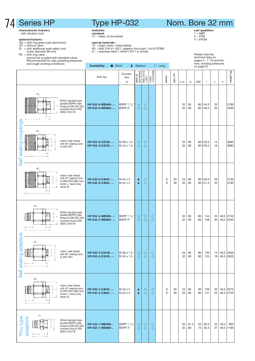### characteristic features: - with vibration lock

#### optional features:

- GG = with ring grips (cast aluminium) OV = without valve SI = with additional axial safety lock
- 
- 
- 

### Type HP-032 materials:

standard: 12 =steel, oil burnished

- special materials: 13 =steel, chem. nickel plated W1 =AISI 316 ti/1.4571, adaptor front part 1.4418 QT900 01 =stainless steel 1.4404/1.4571 or similar
- 

Availability: C Short C Medium C Long

Nom. Bore 32 mm

seal qualitities:<br>1 = NBR<br>2 = FPM<br>4 = EPDM

Please note the technical data on pages 2 - 7, 76 and the max. working pressures on page 67

(outer diameter 96 mm) RV = with ring valve (cannot be coupled with standard valve) Recommended for high pulsating pressures and rough working conditions.

|                                    |                                                                                                                              | Part No.                               | Connec-<br>tion<br>Α                         | steel oil<br>burnished | AISI 316 ti/<br>1.4571 | 1.4404/<br>1.4418 QT900 | series | pipe OD  | n. b.    | d          | SW       | $\overline{\phantom{a}}$ | t        | n            | weight [g]             |
|------------------------------------|------------------------------------------------------------------------------------------------------------------------------|----------------------------------------|----------------------------------------------|------------------------|------------------------|-------------------------|--------|----------|----------|------------|----------|--------------------------|----------|--------------|------------------------|
|                                    | SW.<br>British standard pipe<br>parallel (BSPP) male<br>thread to DIN ISO 228,<br>screwed plug to DIN<br>3852-2 form B       | HP-032-0-WB048--.<br>HP-032-0-WB060--. | BSPP 1 1/2"<br>BSPP <sub>2"</sub>            | $\circ$<br>$\circ$     | $\circ$<br>$\circ$     |                         |        |          | 32<br>32 | 90<br>90   |          | 80 144,5<br>80 149,5     | 25<br>30 |              | 3790<br>4290           |
| couplings<br>sealing<br>Self       | SW <sub>-</sub><br>metric male thread<br>è<br>with 60° sealing cone<br>to DIN 7631                                           | HP-032-0-D2538--.<br>HP-032-0-D3245--. | M 38 x 1,5<br>M 45 x 1,5                     | $\circ$<br>$\circ$     | $\circ$<br>$\circ$     |                         |        |          | 25<br>32 | 90<br>90   |          | 80 133,5<br>80 135,5     | 14<br>16 |              | 3690<br>3680           |
|                                    | <b>SW</b><br>metric male thread<br>with 24° sealing cone<br>to DIN 2353 (light duty<br>series L, heavy duty<br>series S)     | HP-032-0-S3042--.<br>HP-032-0-S3852--. | M 42 x 2<br>M 52 x 2                         | $\bullet$<br>$\bullet$ | $\circ$<br>$\circ$     |                         | S<br>S | 30<br>38 | 25<br>32 | 90<br>90   |          | 80 139,5<br>80 141,5     | 20<br>22 |              | 3730<br>3790           |
|                                    | 5W<br>British standard pipe<br>parallel (BSPP) male<br>thread to DIN ISO 228,<br>screwed plug to DIN<br>3852-2 form B        | HP-032-2-WB048--.<br>HP-032-2-WB060--. | BSPP $1\frac{1}{2}$ "<br>BSPP <sub>2</sub> " | $\circ$<br>$\circ$     | $\circ$<br>$\circ$     | $\circ$<br>$\circ$      |        |          | 32<br>32 | 90<br>90   | 80<br>80 | 144<br>149               | 25<br>30 | 49,5         | 2740<br>49,5 3240      |
| ling adaptors<br>Self sea<br>$-5-$ | <b>SW</b><br>metric male thread<br>with 60° sealing cone<br>to DIN 7631<br>ы,                                                | HP-032-2-D2538--.<br>HP-032-2-D3245--. | M 38 x 1,5<br>M 45 x 1,5                     | O<br>$\circ$           | $\circ$<br>$\circ$     | $\circ$<br>$\circ$      |        |          | 25<br>32 | 90<br>90   | 80<br>80 | 133<br>135               | 14<br>16 | 49,5<br>49,5 | 2630<br>2620           |
|                                    | SW<br>metric male thread<br>with 24° sealing cone<br>to DIN 2353 (light duty<br>series L, heavy duty<br>series S)            | HP-032-2-S3042--.<br>HP-032-2-S3852--. | M 42 x 2<br>M 52 x 2                         | $\bullet$<br>$\bullet$ | $\circ$<br>$\circ$     | $\circ$<br>$\circ$      | S<br>S | 30<br>38 | 25<br>32 | 90<br>90   | 80<br>80 | 139<br>141               | 20<br>22 |              | 49,5 2670<br>49,5 2730 |
| Thru type<br>adaptors              | <b>SW</b><br>British standard pipe<br>parallel (BSPP) male<br>thread to DIN ISO 228,<br>screwed plug to DIN<br>3852-2 form B | HP-032-1-WB048-<br>HP-032-1-WB060-     | BSPP $1\frac{1}{2}$ "<br>BSPP <sub>2"</sub>  | $\circ$<br>$\circ$     | $\circ$<br>$\circ$     | $\circ$<br>$\circ$      |        |          | 32<br>32 | 61,5<br>86 | 55<br>75 | 90,5<br>92,5             | 25<br>27 | 49,5         | 690<br>49,5 1190       |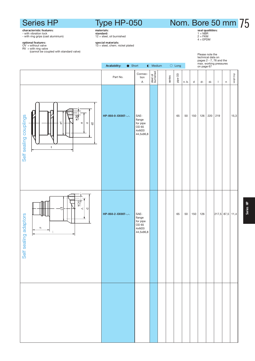## Type HP-050

**standard:**<br>12 = steel, oil burnished

**special materials:**<br>13 = steel, chem. nickel plated

materials:

# Nom. Bore 50 mm 75

seal qualitities:<br>1 = NBR<br>2 = FKM<br>4 = EPDM

**cnaracteristic reatures:**<br>- with vibration lock<br>- with ring grips (cast aluminium)

**optional features:**<br>OV = without valve<br>RV = with ring valve<br>(cannot be coupled with standard valve)



# Series HP